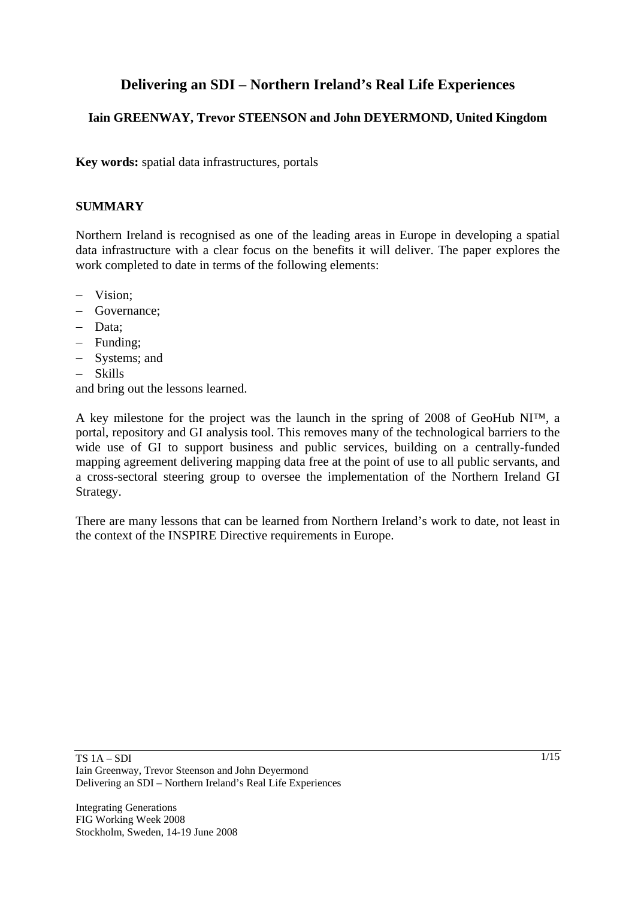# **Delivering an SDI – Northern Ireland's Real Life Experiences**

# **Iain GREENWAY, Trevor STEENSON and John DEYERMOND, United Kingdom**

**Key words:** spatial data infrastructures, portals

#### **SUMMARY**

Northern Ireland is recognised as one of the leading areas in Europe in developing a spatial data infrastructure with a clear focus on the benefits it will deliver. The paper explores the work completed to date in terms of the following elements:

- − Vision;
- − Governance;
- − Data;
- − Funding;
- − Systems; and
- − Skills

and bring out the lessons learned.

A key milestone for the project was the launch in the spring of 2008 of GeoHub NI™, a portal, repository and GI analysis tool. This removes many of the technological barriers to the wide use of GI to support business and public services, building on a centrally-funded mapping agreement delivering mapping data free at the point of use to all public servants, and a cross-sectoral steering group to oversee the implementation of the Northern Ireland GI Strategy.

There are many lessons that can be learned from Northern Ireland's work to date, not least in the context of the INSPIRE Directive requirements in Europe.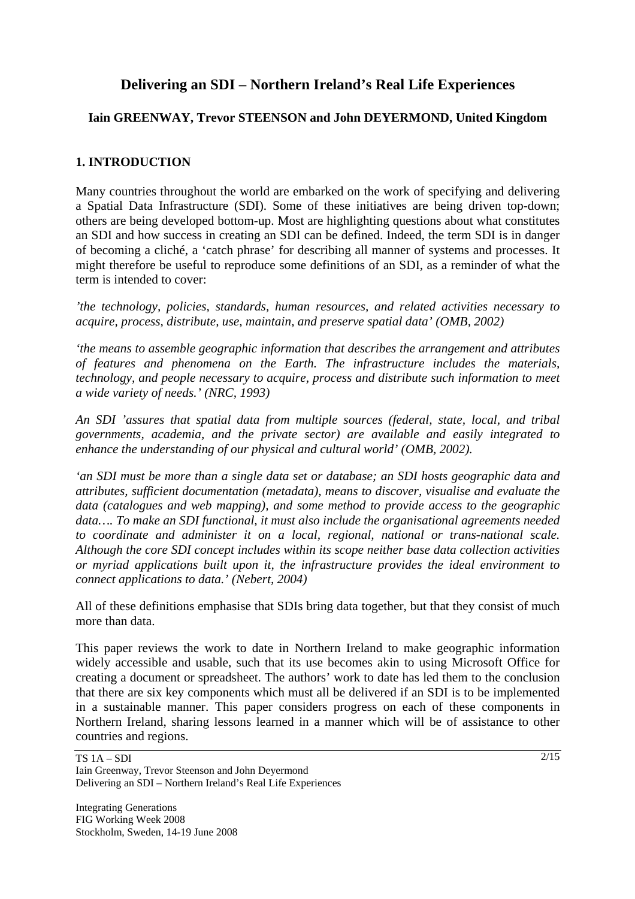# **Delivering an SDI – Northern Ireland's Real Life Experiences**

# **Iain GREENWAY, Trevor STEENSON and John DEYERMOND, United Kingdom**

# **1. INTRODUCTION**

Many countries throughout the world are embarked on the work of specifying and delivering a Spatial Data Infrastructure (SDI). Some of these initiatives are being driven top-down; others are being developed bottom-up. Most are highlighting questions about what constitutes an SDI and how success in creating an SDI can be defined. Indeed, the term SDI is in danger of becoming a cliché, a 'catch phrase' for describing all manner of systems and processes. It might therefore be useful to reproduce some definitions of an SDI, as a reminder of what the term is intended to cover:

*'the technology, policies, standards, human resources, and related activities necessary to acquire, process, distribute, use, maintain, and preserve spatial data' (OMB, 2002)* 

*'the means to assemble geographic information that describes the arrangement and attributes of features and phenomena on the Earth. The infrastructure includes the materials, technology, and people necessary to acquire, process and distribute such information to meet a wide variety of needs.' (NRC, 1993)* 

*An SDI 'assures that spatial data from multiple sources (federal, state, local, and tribal governments, academia, and the private sector) are available and easily integrated to enhance the understanding of our physical and cultural world' (OMB, 2002).* 

*'an SDI must be more than a single data set or database; an SDI hosts geographic data and attributes, sufficient documentation (metadata), means to discover, visualise and evaluate the data (catalogues and web mapping), and some method to provide access to the geographic data…. To make an SDI functional, it must also include the organisational agreements needed to coordinate and administer it on a local, regional, national or trans-national scale. Although the core SDI concept includes within its scope neither base data collection activities or myriad applications built upon it, the infrastructure provides the ideal environment to connect applications to data.' (Nebert, 2004)* 

All of these definitions emphasise that SDIs bring data together, but that they consist of much more than data.

This paper reviews the work to date in Northern Ireland to make geographic information widely accessible and usable, such that its use becomes akin to using Microsoft Office for creating a document or spreadsheet. The authors' work to date has led them to the conclusion that there are six key components which must all be delivered if an SDI is to be implemented in a sustainable manner. This paper considers progress on each of these components in Northern Ireland, sharing lessons learned in a manner which will be of assistance to other countries and regions.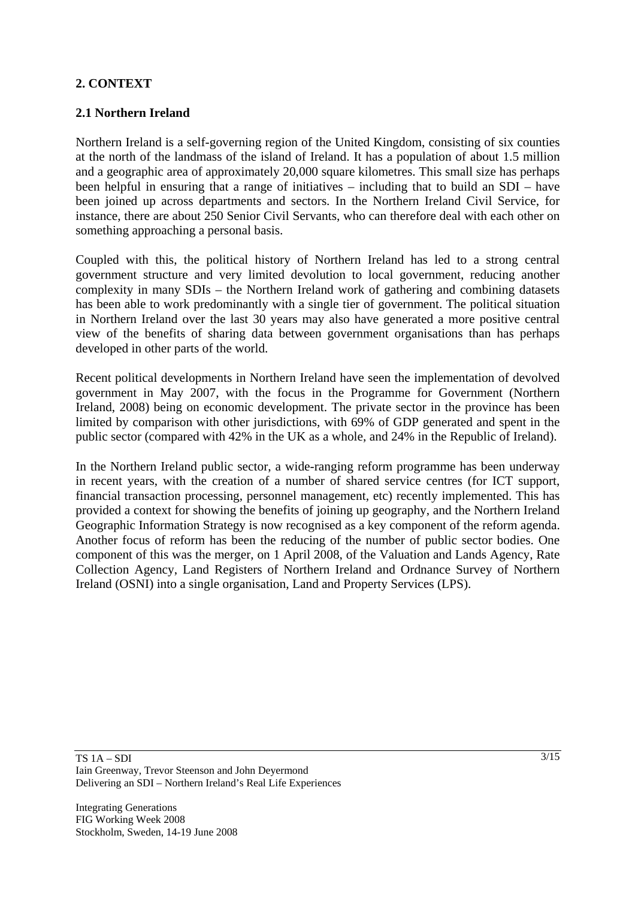# **2. CONTEXT**

## **2.1 Northern Ireland**

Northern Ireland is a self-governing region of the United Kingdom, consisting of six counties at the north of the landmass of the island of Ireland. It has a population of about 1.5 million and a geographic area of approximately 20,000 square kilometres. This small size has perhaps been helpful in ensuring that a range of initiatives – including that to build an SDI – have been joined up across departments and sectors. In the Northern Ireland Civil Service, for instance, there are about 250 Senior Civil Servants, who can therefore deal with each other on something approaching a personal basis.

Coupled with this, the political history of Northern Ireland has led to a strong central government structure and very limited devolution to local government, reducing another complexity in many SDIs – the Northern Ireland work of gathering and combining datasets has been able to work predominantly with a single tier of government. The political situation in Northern Ireland over the last 30 years may also have generated a more positive central view of the benefits of sharing data between government organisations than has perhaps developed in other parts of the world.

Recent political developments in Northern Ireland have seen the implementation of devolved government in May 2007, with the focus in the Programme for Government (Northern Ireland, 2008) being on economic development. The private sector in the province has been limited by comparison with other jurisdictions, with 69% of GDP generated and spent in the public sector (compared with 42% in the UK as a whole, and 24% in the Republic of Ireland).

In the Northern Ireland public sector, a wide-ranging reform programme has been underway in recent years, with the creation of a number of shared service centres (for ICT support, financial transaction processing, personnel management, etc) recently implemented. This has provided a context for showing the benefits of joining up geography, and the Northern Ireland Geographic Information Strategy is now recognised as a key component of the reform agenda. Another focus of reform has been the reducing of the number of public sector bodies. One component of this was the merger, on 1 April 2008, of the Valuation and Lands Agency, Rate Collection Agency, Land Registers of Northern Ireland and Ordnance Survey of Northern Ireland (OSNI) into a single organisation, Land and Property Services (LPS).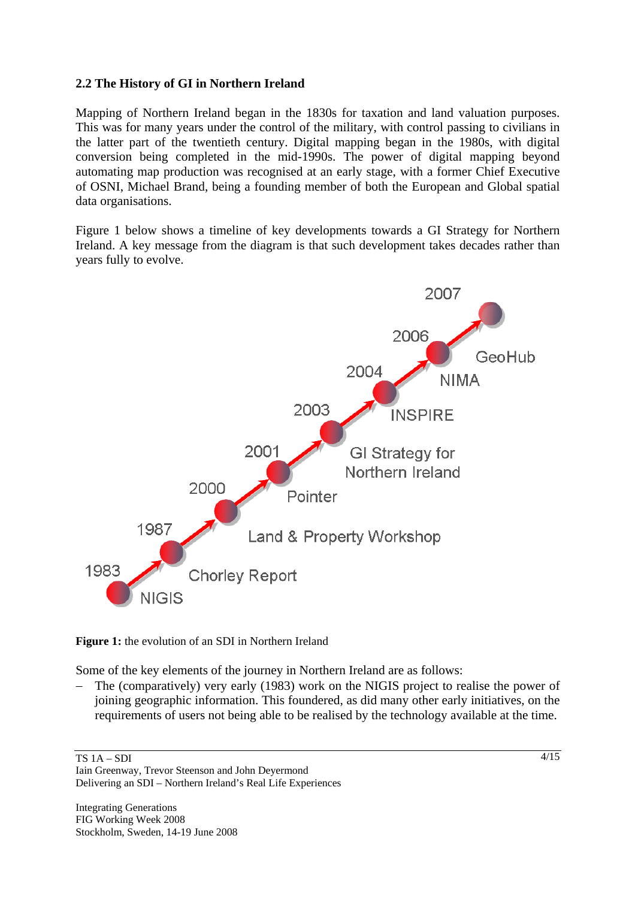### **2.2 The History of GI in Northern Ireland**

Mapping of Northern Ireland began in the 1830s for taxation and land valuation purposes. This was for many years under the control of the military, with control passing to civilians in the latter part of the twentieth century. Digital mapping began in the 1980s, with digital conversion being completed in the mid-1990s. The power of digital mapping beyond automating map production was recognised at an early stage, with a former Chief Executive of OSNI, Michael Brand, being a founding member of both the European and Global spatial data organisations.

Figure 1 below shows a timeline of key developments towards a GI Strategy for Northern Ireland. A key message from the diagram is that such development takes decades rather than years fully to evolve.



**Figure 1:** the evolution of an SDI in Northern Ireland

Some of the key elements of the journey in Northern Ireland are as follows:

The (comparatively) very early (1983) work on the NIGIS project to realise the power of joining geographic information. This foundered, as did many other early initiatives, on the requirements of users not being able to be realised by the technology available at the time.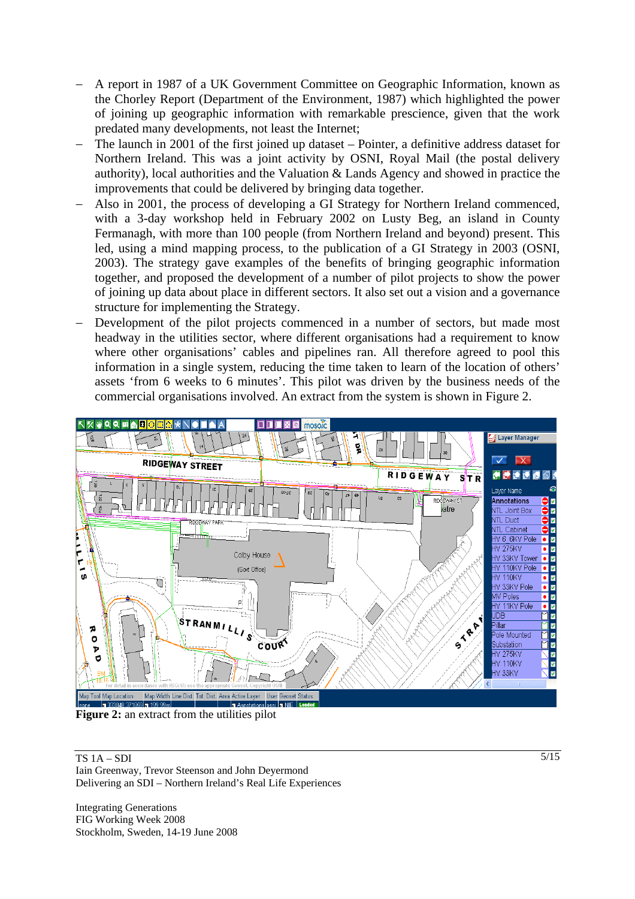- − A report in 1987 of a UK Government Committee on Geographic Information, known as the Chorley Report (Department of the Environment, 1987) which highlighted the power of joining up geographic information with remarkable prescience, given that the work predated many developments, not least the Internet;
- The launch in 2001 of the first joined up dataset Pointer, a definitive address dataset for Northern Ireland. This was a joint activity by OSNI, Royal Mail (the postal delivery authority), local authorities and the Valuation & Lands Agency and showed in practice the improvements that could be delivered by bringing data together.
- − Also in 2001, the process of developing a GI Strategy for Northern Ireland commenced, with a 3-day workshop held in February 2002 on Lusty Beg, an island in County Fermanagh, with more than 100 people (from Northern Ireland and beyond) present. This led, using a mind mapping process, to the publication of a GI Strategy in 2003 (OSNI, 2003). The strategy gave examples of the benefits of bringing geographic information together, and proposed the development of a number of pilot projects to show the power of joining up data about place in different sectors. It also set out a vision and a governance structure for implementing the Strategy.
- Development of the pilot projects commenced in a number of sectors, but made most headway in the utilities sector, where different organisations had a requirement to know where other organisations' cables and pipelines ran. All therefore agreed to pool this information in a single system, reducing the time taken to learn of the location of others' assets 'from 6 weeks to 6 minutes'. This pilot was driven by the business needs of the commercial organisations involved. An extract from the system is shown in Figure 2.



**Figure 2:** an extract from the utilities pilot

TS 1A – SDI Iain Greenway, Trevor Steenson and John Deyermond Delivering an SDI – Northern Ireland's Real Life Experiences

Integrating Generations FIG Working Week 2008 Stockholm, Sweden, 14-19 June 2008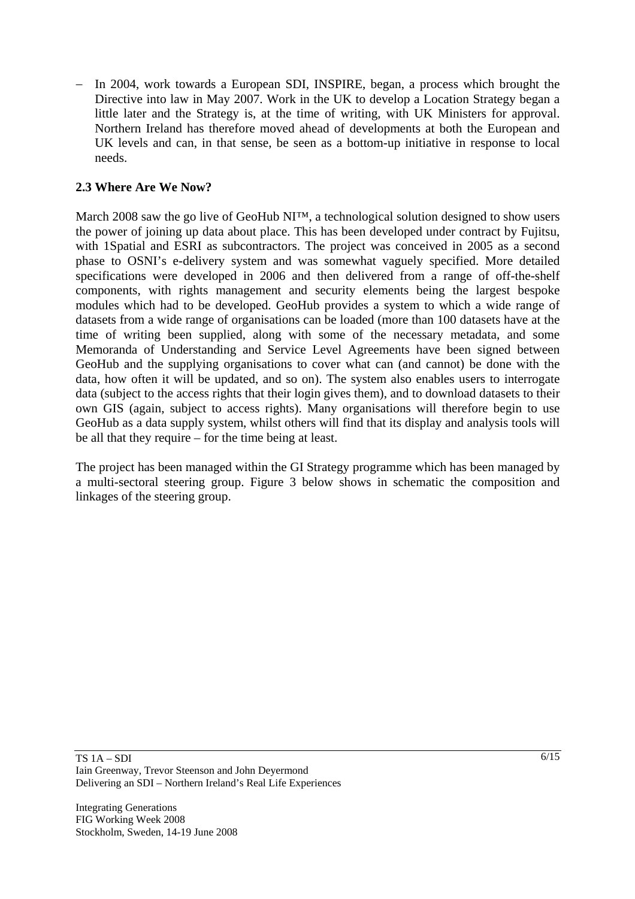− In 2004, work towards a European SDI, INSPIRE, began, a process which brought the Directive into law in May 2007. Work in the UK to develop a Location Strategy began a little later and the Strategy is, at the time of writing, with UK Ministers for approval. Northern Ireland has therefore moved ahead of developments at both the European and UK levels and can, in that sense, be seen as a bottom-up initiative in response to local needs.

## **2.3 Where Are We Now?**

March 2008 saw the go live of GeoHub NI™, a technological solution designed to show users the power of joining up data about place. This has been developed under contract by Fujitsu, with 1Spatial and ESRI as subcontractors. The project was conceived in 2005 as a second phase to OSNI's e-delivery system and was somewhat vaguely specified. More detailed specifications were developed in 2006 and then delivered from a range of off-the-shelf components, with rights management and security elements being the largest bespoke modules which had to be developed. GeoHub provides a system to which a wide range of datasets from a wide range of organisations can be loaded (more than 100 datasets have at the time of writing been supplied, along with some of the necessary metadata, and some Memoranda of Understanding and Service Level Agreements have been signed between GeoHub and the supplying organisations to cover what can (and cannot) be done with the data, how often it will be updated, and so on). The system also enables users to interrogate data (subject to the access rights that their login gives them), and to download datasets to their own GIS (again, subject to access rights). Many organisations will therefore begin to use GeoHub as a data supply system, whilst others will find that its display and analysis tools will be all that they require – for the time being at least.

The project has been managed within the GI Strategy programme which has been managed by a multi-sectoral steering group. Figure 3 below shows in schematic the composition and linkages of the steering group.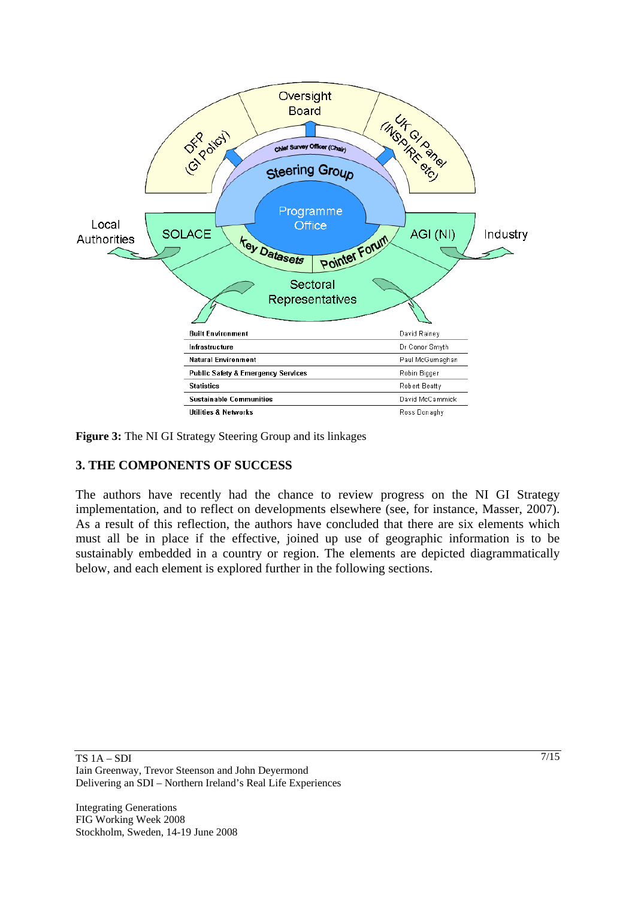

**Figure 3:** The NI GI Strategy Steering Group and its linkages

# **3. THE COMPONENTS OF SUCCESS**

The authors have recently had the chance to review progress on the NI GI Strategy implementation, and to reflect on developments elsewhere (see, for instance, Masser, 2007). As a result of this reflection, the authors have concluded that there are six elements which must all be in place if the effective, joined up use of geographic information is to be sustainably embedded in a country or region. The elements are depicted diagrammatically below, and each element is explored further in the following sections.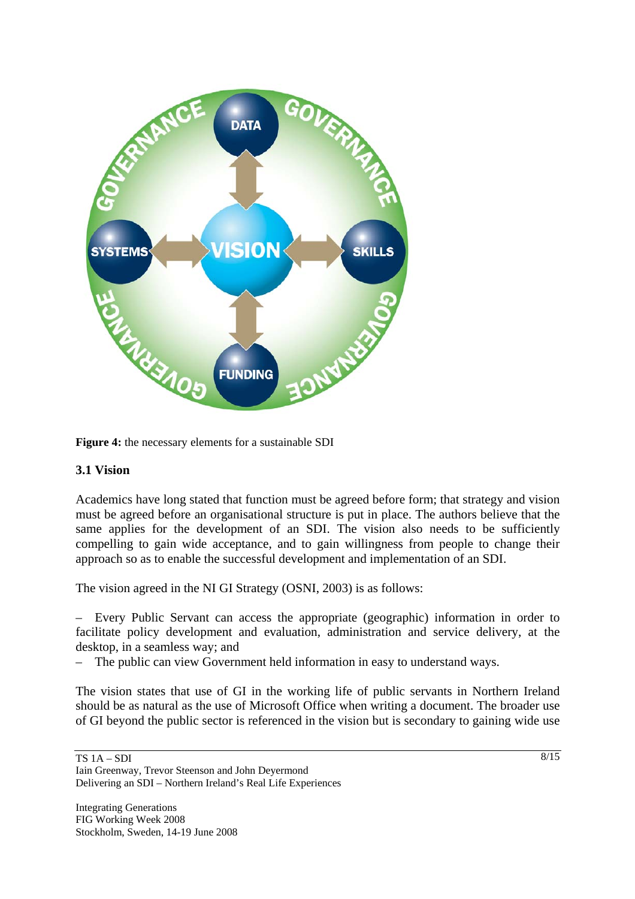

**Figure 4:** the necessary elements for a sustainable SDI

#### **3.1 Vision**

Academics have long stated that function must be agreed before form; that strategy and vision must be agreed before an organisational structure is put in place. The authors believe that the same applies for the development of an SDI. The vision also needs to be sufficiently compelling to gain wide acceptance, and to gain willingness from people to change their approach so as to enable the successful development and implementation of an SDI.

The vision agreed in the NI GI Strategy (OSNI, 2003) is as follows:

– Every Public Servant can access the appropriate (geographic) information in order to facilitate policy development and evaluation, administration and service delivery, at the desktop, in a seamless way; and

– The public can view Government held information in easy to understand ways.

The vision states that use of GI in the working life of public servants in Northern Ireland should be as natural as the use of Microsoft Office when writing a document. The broader use of GI beyond the public sector is referenced in the vision but is secondary to gaining wide use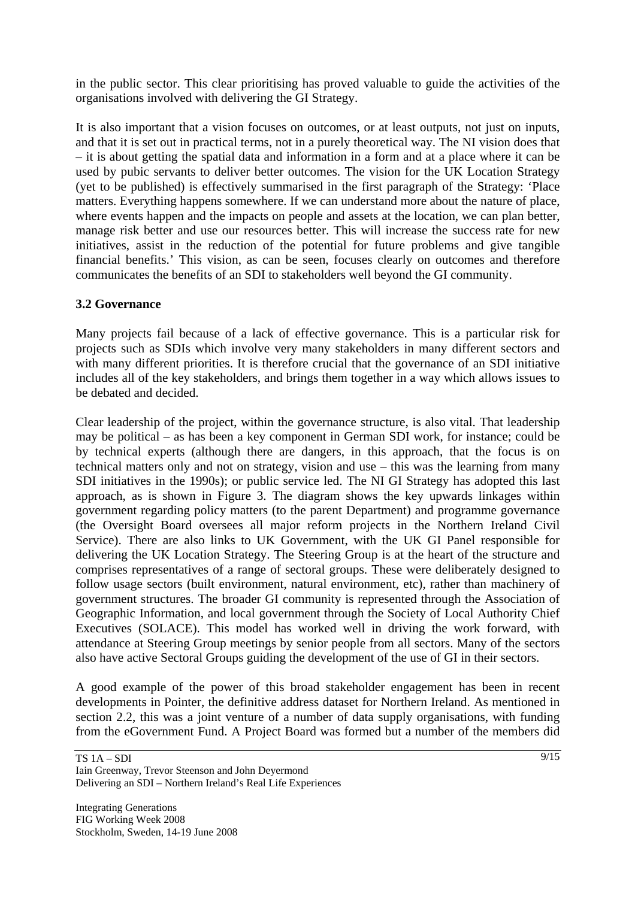in the public sector. This clear prioritising has proved valuable to guide the activities of the organisations involved with delivering the GI Strategy.

It is also important that a vision focuses on outcomes, or at least outputs, not just on inputs, and that it is set out in practical terms, not in a purely theoretical way. The NI vision does that – it is about getting the spatial data and information in a form and at a place where it can be used by pubic servants to deliver better outcomes. The vision for the UK Location Strategy (yet to be published) is effectively summarised in the first paragraph of the Strategy: 'Place matters. Everything happens somewhere. If we can understand more about the nature of place, where events happen and the impacts on people and assets at the location, we can plan better, manage risk better and use our resources better. This will increase the success rate for new initiatives, assist in the reduction of the potential for future problems and give tangible financial benefits.' This vision, as can be seen, focuses clearly on outcomes and therefore communicates the benefits of an SDI to stakeholders well beyond the GI community.

## **3.2 Governance**

Many projects fail because of a lack of effective governance. This is a particular risk for projects such as SDIs which involve very many stakeholders in many different sectors and with many different priorities. It is therefore crucial that the governance of an SDI initiative includes all of the key stakeholders, and brings them together in a way which allows issues to be debated and decided.

Clear leadership of the project, within the governance structure, is also vital. That leadership may be political – as has been a key component in German SDI work, for instance; could be by technical experts (although there are dangers, in this approach, that the focus is on technical matters only and not on strategy, vision and use – this was the learning from many SDI initiatives in the 1990s); or public service led. The NI GI Strategy has adopted this last approach, as is shown in Figure 3. The diagram shows the key upwards linkages within government regarding policy matters (to the parent Department) and programme governance (the Oversight Board oversees all major reform projects in the Northern Ireland Civil Service). There are also links to UK Government, with the UK GI Panel responsible for delivering the UK Location Strategy. The Steering Group is at the heart of the structure and comprises representatives of a range of sectoral groups. These were deliberately designed to follow usage sectors (built environment, natural environment, etc), rather than machinery of government structures. The broader GI community is represented through the Association of Geographic Information, and local government through the Society of Local Authority Chief Executives (SOLACE). This model has worked well in driving the work forward, with attendance at Steering Group meetings by senior people from all sectors. Many of the sectors also have active Sectoral Groups guiding the development of the use of GI in their sectors.

A good example of the power of this broad stakeholder engagement has been in recent developments in Pointer, the definitive address dataset for Northern Ireland. As mentioned in section 2.2, this was a joint venture of a number of data supply organisations, with funding from the eGovernment Fund. A Project Board was formed but a number of the members did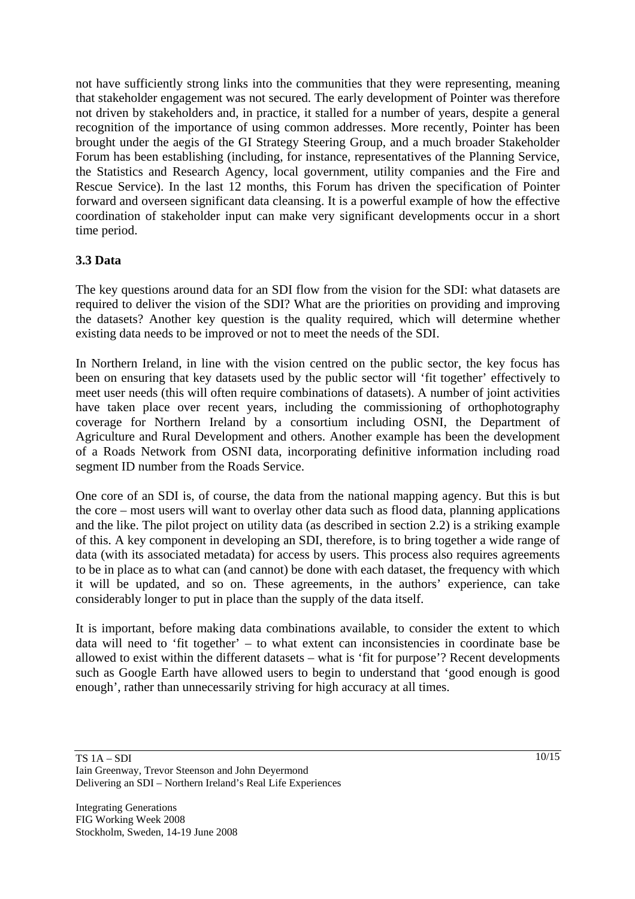not have sufficiently strong links into the communities that they were representing, meaning that stakeholder engagement was not secured. The early development of Pointer was therefore not driven by stakeholders and, in practice, it stalled for a number of years, despite a general recognition of the importance of using common addresses. More recently, Pointer has been brought under the aegis of the GI Strategy Steering Group, and a much broader Stakeholder Forum has been establishing (including, for instance, representatives of the Planning Service, the Statistics and Research Agency, local government, utility companies and the Fire and Rescue Service). In the last 12 months, this Forum has driven the specification of Pointer forward and overseen significant data cleansing. It is a powerful example of how the effective coordination of stakeholder input can make very significant developments occur in a short time period.

# **3.3 Data**

The key questions around data for an SDI flow from the vision for the SDI: what datasets are required to deliver the vision of the SDI? What are the priorities on providing and improving the datasets? Another key question is the quality required, which will determine whether existing data needs to be improved or not to meet the needs of the SDI.

In Northern Ireland, in line with the vision centred on the public sector, the key focus has been on ensuring that key datasets used by the public sector will 'fit together' effectively to meet user needs (this will often require combinations of datasets). A number of joint activities have taken place over recent years, including the commissioning of orthophotography coverage for Northern Ireland by a consortium including OSNI, the Department of Agriculture and Rural Development and others. Another example has been the development of a Roads Network from OSNI data, incorporating definitive information including road segment ID number from the Roads Service.

One core of an SDI is, of course, the data from the national mapping agency. But this is but the core – most users will want to overlay other data such as flood data, planning applications and the like. The pilot project on utility data (as described in section 2.2) is a striking example of this. A key component in developing an SDI, therefore, is to bring together a wide range of data (with its associated metadata) for access by users. This process also requires agreements to be in place as to what can (and cannot) be done with each dataset, the frequency with which it will be updated, and so on. These agreements, in the authors' experience, can take considerably longer to put in place than the supply of the data itself.

It is important, before making data combinations available, to consider the extent to which data will need to 'fit together' – to what extent can inconsistencies in coordinate base be allowed to exist within the different datasets – what is 'fit for purpose'? Recent developments such as Google Earth have allowed users to begin to understand that 'good enough is good enough', rather than unnecessarily striving for high accuracy at all times.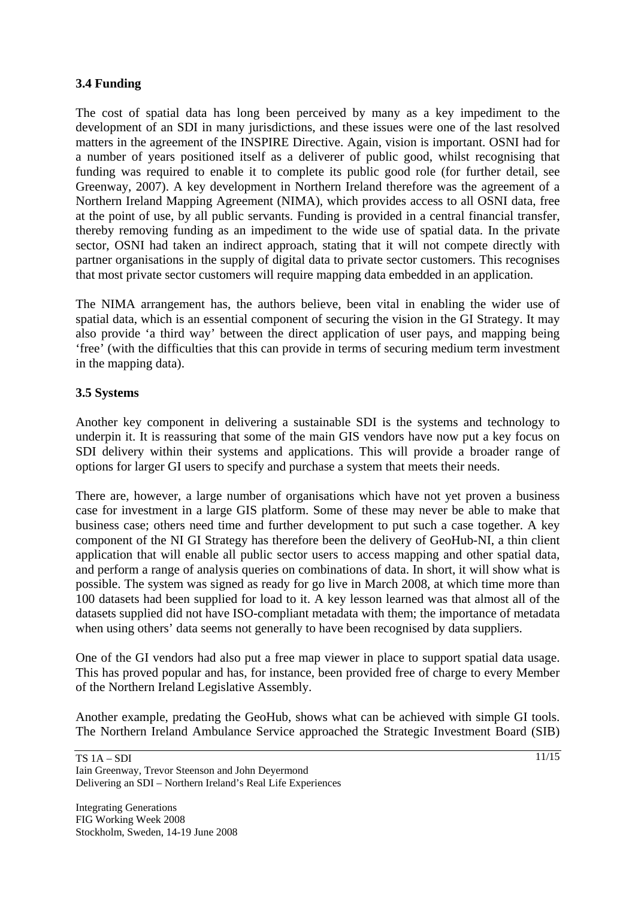## **3.4 Funding**

The cost of spatial data has long been perceived by many as a key impediment to the development of an SDI in many jurisdictions, and these issues were one of the last resolved matters in the agreement of the INSPIRE Directive. Again, vision is important. OSNI had for a number of years positioned itself as a deliverer of public good, whilst recognising that funding was required to enable it to complete its public good role (for further detail, see Greenway, 2007). A key development in Northern Ireland therefore was the agreement of a Northern Ireland Mapping Agreement (NIMA), which provides access to all OSNI data, free at the point of use, by all public servants. Funding is provided in a central financial transfer, thereby removing funding as an impediment to the wide use of spatial data. In the private sector, OSNI had taken an indirect approach, stating that it will not compete directly with partner organisations in the supply of digital data to private sector customers. This recognises that most private sector customers will require mapping data embedded in an application.

The NIMA arrangement has, the authors believe, been vital in enabling the wider use of spatial data, which is an essential component of securing the vision in the GI Strategy. It may also provide 'a third way' between the direct application of user pays, and mapping being 'free' (with the difficulties that this can provide in terms of securing medium term investment in the mapping data).

#### **3.5 Systems**

Another key component in delivering a sustainable SDI is the systems and technology to underpin it. It is reassuring that some of the main GIS vendors have now put a key focus on SDI delivery within their systems and applications. This will provide a broader range of options for larger GI users to specify and purchase a system that meets their needs.

There are, however, a large number of organisations which have not yet proven a business case for investment in a large GIS platform. Some of these may never be able to make that business case; others need time and further development to put such a case together. A key component of the NI GI Strategy has therefore been the delivery of GeoHub-NI, a thin client application that will enable all public sector users to access mapping and other spatial data, and perform a range of analysis queries on combinations of data. In short, it will show what is possible. The system was signed as ready for go live in March 2008, at which time more than 100 datasets had been supplied for load to it. A key lesson learned was that almost all of the datasets supplied did not have ISO-compliant metadata with them; the importance of metadata when using others' data seems not generally to have been recognised by data suppliers.

One of the GI vendors had also put a free map viewer in place to support spatial data usage. This has proved popular and has, for instance, been provided free of charge to every Member of the Northern Ireland Legislative Assembly.

Another example, predating the GeoHub, shows what can be achieved with simple GI tools. The Northern Ireland Ambulance Service approached the Strategic Investment Board (SIB)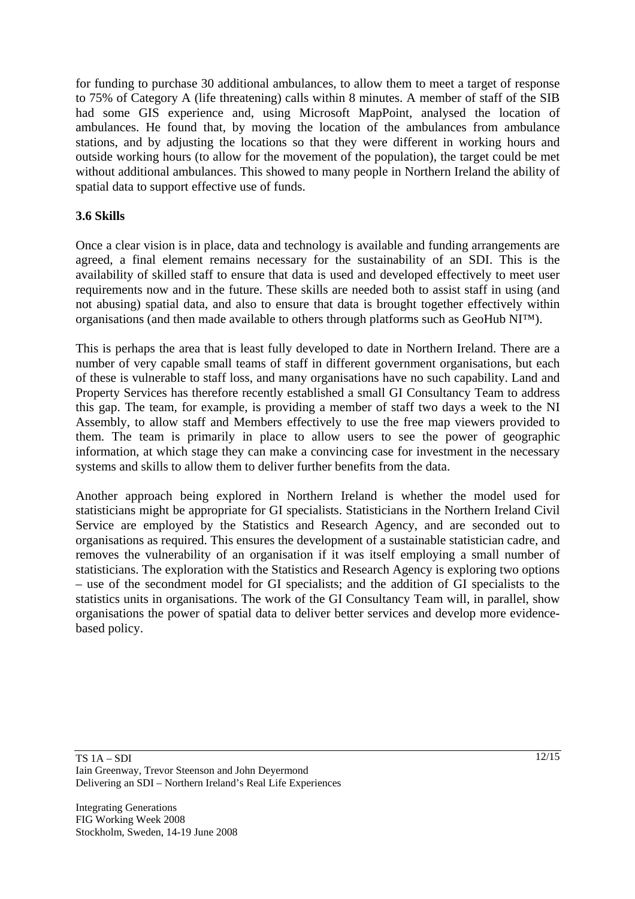for funding to purchase 30 additional ambulances, to allow them to meet a target of response to 75% of Category A (life threatening) calls within 8 minutes. A member of staff of the SIB had some GIS experience and, using Microsoft MapPoint, analysed the location of ambulances. He found that, by moving the location of the ambulances from ambulance stations, and by adjusting the locations so that they were different in working hours and outside working hours (to allow for the movement of the population), the target could be met without additional ambulances. This showed to many people in Northern Ireland the ability of spatial data to support effective use of funds.

### **3.6 Skills**

Once a clear vision is in place, data and technology is available and funding arrangements are agreed, a final element remains necessary for the sustainability of an SDI. This is the availability of skilled staff to ensure that data is used and developed effectively to meet user requirements now and in the future. These skills are needed both to assist staff in using (and not abusing) spatial data, and also to ensure that data is brought together effectively within organisations (and then made available to others through platforms such as GeoHub NI™).

This is perhaps the area that is least fully developed to date in Northern Ireland. There are a number of very capable small teams of staff in different government organisations, but each of these is vulnerable to staff loss, and many organisations have no such capability. Land and Property Services has therefore recently established a small GI Consultancy Team to address this gap. The team, for example, is providing a member of staff two days a week to the NI Assembly, to allow staff and Members effectively to use the free map viewers provided to them. The team is primarily in place to allow users to see the power of geographic information, at which stage they can make a convincing case for investment in the necessary systems and skills to allow them to deliver further benefits from the data.

Another approach being explored in Northern Ireland is whether the model used for statisticians might be appropriate for GI specialists. Statisticians in the Northern Ireland Civil Service are employed by the Statistics and Research Agency, and are seconded out to organisations as required. This ensures the development of a sustainable statistician cadre, and removes the vulnerability of an organisation if it was itself employing a small number of statisticians. The exploration with the Statistics and Research Agency is exploring two options – use of the secondment model for GI specialists; and the addition of GI specialists to the statistics units in organisations. The work of the GI Consultancy Team will, in parallel, show organisations the power of spatial data to deliver better services and develop more evidencebased policy.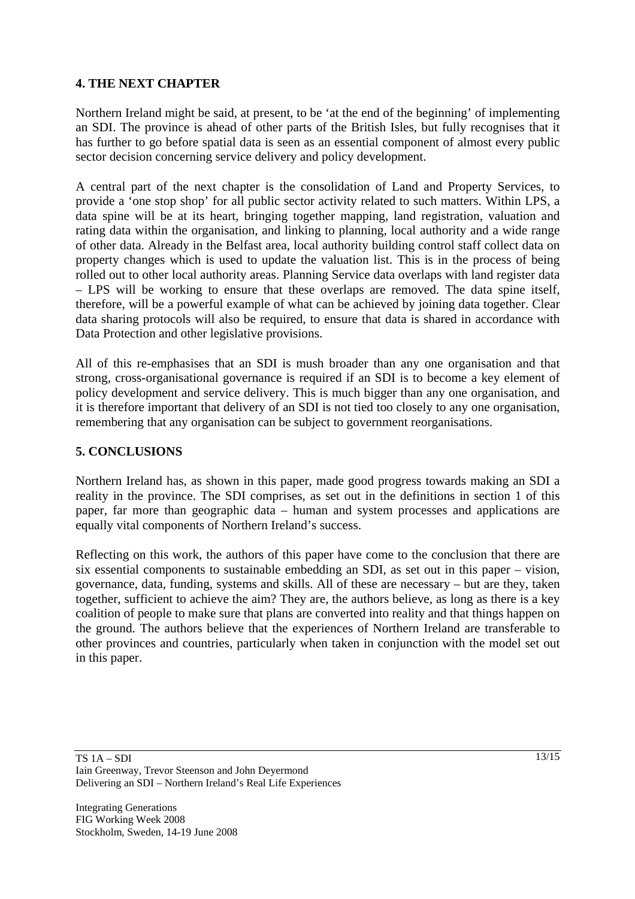## **4. THE NEXT CHAPTER**

Northern Ireland might be said, at present, to be 'at the end of the beginning' of implementing an SDI. The province is ahead of other parts of the British Isles, but fully recognises that it has further to go before spatial data is seen as an essential component of almost every public sector decision concerning service delivery and policy development.

A central part of the next chapter is the consolidation of Land and Property Services, to provide a 'one stop shop' for all public sector activity related to such matters. Within LPS, a data spine will be at its heart, bringing together mapping, land registration, valuation and rating data within the organisation, and linking to planning, local authority and a wide range of other data. Already in the Belfast area, local authority building control staff collect data on property changes which is used to update the valuation list. This is in the process of being rolled out to other local authority areas. Planning Service data overlaps with land register data – LPS will be working to ensure that these overlaps are removed. The data spine itself, therefore, will be a powerful example of what can be achieved by joining data together. Clear data sharing protocols will also be required, to ensure that data is shared in accordance with Data Protection and other legislative provisions.

All of this re-emphasises that an SDI is mush broader than any one organisation and that strong, cross-organisational governance is required if an SDI is to become a key element of policy development and service delivery. This is much bigger than any one organisation, and it is therefore important that delivery of an SDI is not tied too closely to any one organisation, remembering that any organisation can be subject to government reorganisations.

# **5. CONCLUSIONS**

Northern Ireland has, as shown in this paper, made good progress towards making an SDI a reality in the province. The SDI comprises, as set out in the definitions in section 1 of this paper, far more than geographic data – human and system processes and applications are equally vital components of Northern Ireland's success.

Reflecting on this work, the authors of this paper have come to the conclusion that there are six essential components to sustainable embedding an SDI, as set out in this paper – vision, governance, data, funding, systems and skills. All of these are necessary – but are they, taken together, sufficient to achieve the aim? They are, the authors believe, as long as there is a key coalition of people to make sure that plans are converted into reality and that things happen on the ground. The authors believe that the experiences of Northern Ireland are transferable to other provinces and countries, particularly when taken in conjunction with the model set out in this paper.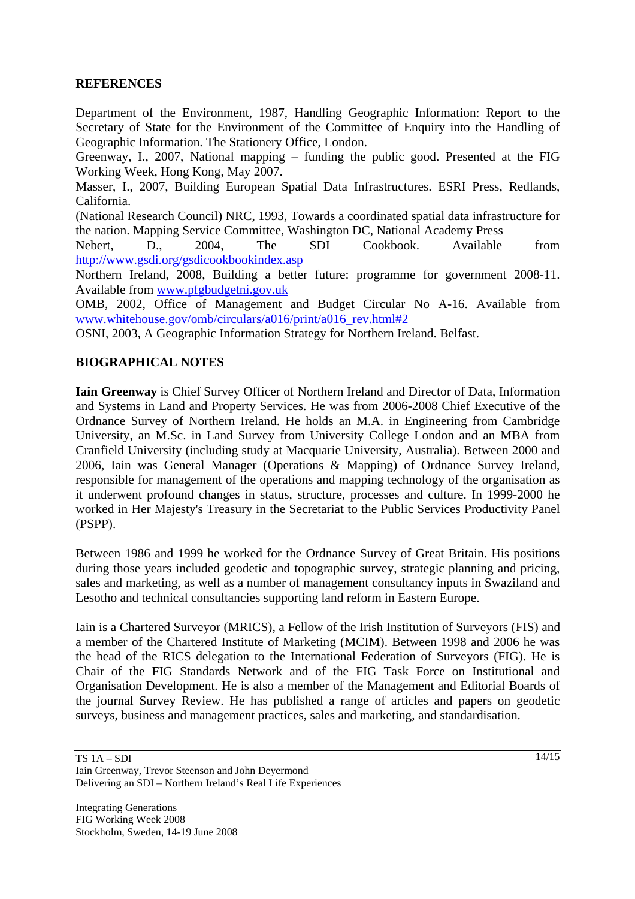#### **REFERENCES**

Department of the Environment, 1987, Handling Geographic Information: Report to the Secretary of State for the Environment of the Committee of Enquiry into the Handling of Geographic Information. The Stationery Office, London.

Greenway, I., 2007, National mapping – funding the public good. Presented at the FIG Working Week, Hong Kong, May 2007.

Masser, I., 2007, Building European Spatial Data Infrastructures. ESRI Press, Redlands, California.

(National Research Council) NRC, 1993, Towards a coordinated spatial data infrastructure for the nation. Mapping Service Committee, Washington DC, National Academy Press

Nebert, D., 2004, The SDI Cookbook. Available from http://www.gsdi.org/gsdicookbookindex.asp

Northern Ireland, 2008, Building a better future: programme for government 2008-11. Available from www.pfgbudgetni.gov.uk

OMB, 2002, Office of Management and Budget Circular No A-16. Available from www.whitehouse.gov/omb/circulars/a016/print/a016\_rev.html#2

OSNI, 2003, A Geographic Information Strategy for Northern Ireland. Belfast.

#### **BIOGRAPHICAL NOTES**

**Iain Greenway** is Chief Survey Officer of Northern Ireland and Director of Data, Information and Systems in Land and Property Services. He was from 2006-2008 Chief Executive of the Ordnance Survey of Northern Ireland. He holds an M.A. in Engineering from Cambridge University, an M.Sc. in Land Survey from University College London and an MBA from Cranfield University (including study at Macquarie University, Australia). Between 2000 and 2006, Iain was General Manager (Operations & Mapping) of Ordnance Survey Ireland, responsible for management of the operations and mapping technology of the organisation as it underwent profound changes in status, structure, processes and culture. In 1999-2000 he worked in Her Majesty's Treasury in the Secretariat to the Public Services Productivity Panel (PSPP).

Between 1986 and 1999 he worked for the Ordnance Survey of Great Britain. His positions during those years included geodetic and topographic survey, strategic planning and pricing, sales and marketing, as well as a number of management consultancy inputs in Swaziland and Lesotho and technical consultancies supporting land reform in Eastern Europe.

Iain is a Chartered Surveyor (MRICS), a Fellow of the Irish Institution of Surveyors (FIS) and a member of the Chartered Institute of Marketing (MCIM). Between 1998 and 2006 he was the head of the RICS delegation to the International Federation of Surveyors (FIG). He is Chair of the FIG Standards Network and of the FIG Task Force on Institutional and Organisation Development. He is also a member of the Management and Editorial Boards of the journal Survey Review. He has published a range of articles and papers on geodetic surveys, business and management practices, sales and marketing, and standardisation.